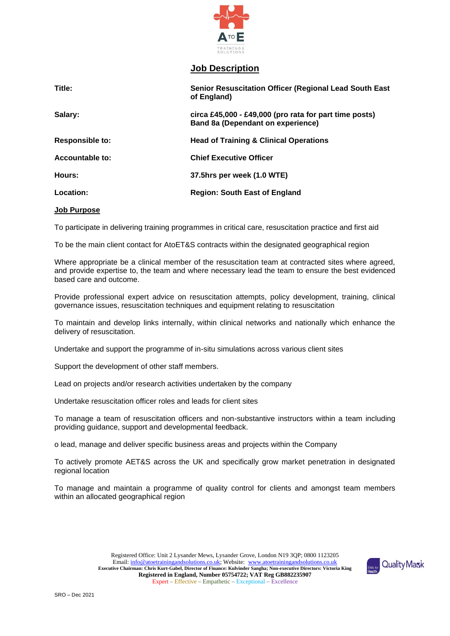

**Job Description**

| Title:                 | <b>Senior Resuscitation Officer (Regional Lead South East</b><br>of England)                       |
|------------------------|----------------------------------------------------------------------------------------------------|
| Salary:                | circa £45,000 - £49,000 (pro rata for part time posts)<br><b>Band 8a (Dependant on experience)</b> |
| <b>Responsible to:</b> | <b>Head of Training &amp; Clinical Operations</b>                                                  |
| Accountable to:        | <b>Chief Executive Officer</b>                                                                     |
| Hours:                 | 37.5hrs per week (1.0 WTE)                                                                         |
| Location:              | <b>Region: South East of England</b>                                                               |

# **Job Purpose**

To participate in delivering training programmes in critical care, resuscitation practice and first aid

To be the main client contact for AtoET&S contracts within the designated geographical region

Where appropriate be a clinical member of the resuscitation team at contracted sites where agreed, and provide expertise to, the team and where necessary lead the team to ensure the best evidenced based care and outcome.

Provide professional expert advice on resuscitation attempts, policy development, training, clinical governance issues, resuscitation techniques and equipment relating to resuscitation

To maintain and develop links internally, within clinical networks and nationally which enhance the delivery of resuscitation.

Undertake and support the programme of in-situ simulations across various client sites

Support the development of other staff members.

Lead on projects and/or research activities undertaken by the company

Undertake resuscitation officer roles and leads for client sites

To manage a team of resuscitation officers and non-substantive instructors within a team including providing guidance, support and developmental feedback.

o lead, manage and deliver specific business areas and projects within the Company

To actively promote AET&S across the UK and specifically grow market penetration in designated regional location

To manage and maintain a programme of quality control for clients and amongst team members within an allocated geographical region

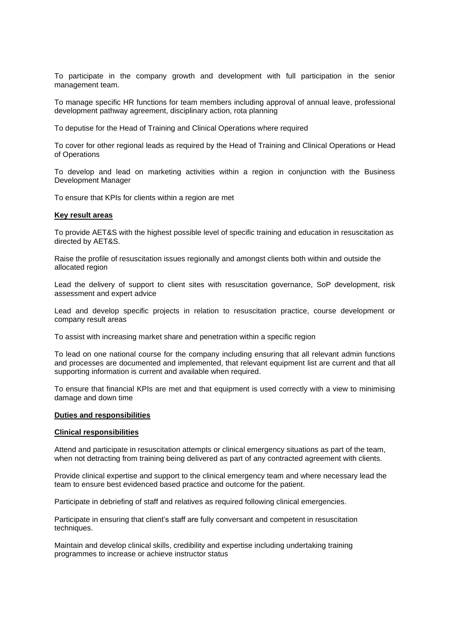To participate in the company growth and development with full participation in the senior management team.

To manage specific HR functions for team members including approval of annual leave, professional development pathway agreement, disciplinary action, rota planning

To deputise for the Head of Training and Clinical Operations where required

To cover for other regional leads as required by the Head of Training and Clinical Operations or Head of Operations

To develop and lead on marketing activities within a region in conjunction with the Business Development Manager

To ensure that KPIs for clients within a region are met

#### **Key result areas**

To provide AET&S with the highest possible level of specific training and education in resuscitation as directed by AET&S.

Raise the profile of resuscitation issues regionally and amongst clients both within and outside the allocated region

Lead the delivery of support to client sites with resuscitation governance, SoP development, risk assessment and expert advice

Lead and develop specific projects in relation to resuscitation practice, course development or company result areas

To assist with increasing market share and penetration within a specific region

To lead on one national course for the company including ensuring that all relevant admin functions and processes are documented and implemented, that relevant equipment list are current and that all supporting information is current and available when required.

To ensure that financial KPIs are met and that equipment is used correctly with a view to minimising damage and down time

#### **Duties and responsibilities**

#### **Clinical responsibilities**

Attend and participate in resuscitation attempts or clinical emergency situations as part of the team, when not detracting from training being delivered as part of any contracted agreement with clients.

Provide clinical expertise and support to the clinical emergency team and where necessary lead the team to ensure best evidenced based practice and outcome for the patient.

Participate in debriefing of staff and relatives as required following clinical emergencies.

Participate in ensuring that client's staff are fully conversant and competent in resuscitation techniques.

Maintain and develop clinical skills, credibility and expertise including undertaking training programmes to increase or achieve instructor status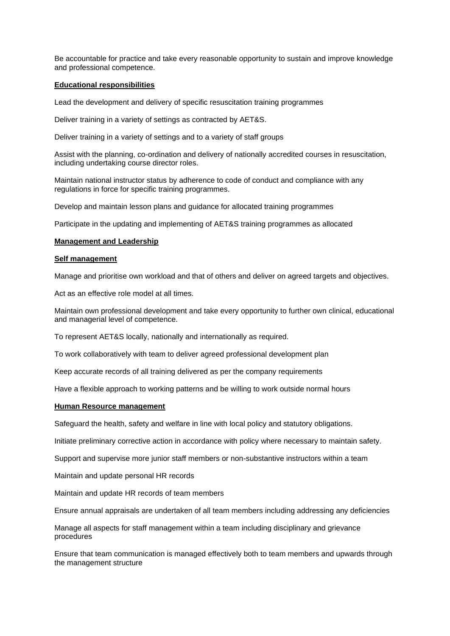Be accountable for practice and take every reasonable opportunity to sustain and improve knowledge and professional competence.

# **Educational responsibilities**

Lead the development and delivery of specific resuscitation training programmes

Deliver training in a variety of settings as contracted by AET&S.

Deliver training in a variety of settings and to a variety of staff groups

Assist with the planning, co-ordination and delivery of nationally accredited courses in resuscitation, including undertaking course director roles.

Maintain national instructor status by adherence to code of conduct and compliance with any regulations in force for specific training programmes.

Develop and maintain lesson plans and guidance for allocated training programmes

Participate in the updating and implementing of AET&S training programmes as allocated

# **Management and Leadership**

## **Self management**

Manage and prioritise own workload and that of others and deliver on agreed targets and objectives.

Act as an effective role model at all times.

Maintain own professional development and take every opportunity to further own clinical, educational and managerial level of competence.

To represent AET&S locally, nationally and internationally as required.

To work collaboratively with team to deliver agreed professional development plan

Keep accurate records of all training delivered as per the company requirements

Have a flexible approach to working patterns and be willing to work outside normal hours

## **Human Resource management**

Safeguard the health, safety and welfare in line with local policy and statutory obligations.

Initiate preliminary corrective action in accordance with policy where necessary to maintain safety.

Support and supervise more junior staff members or non-substantive instructors within a team

Maintain and update personal HR records

Maintain and update HR records of team members

Ensure annual appraisals are undertaken of all team members including addressing any deficiencies

Manage all aspects for staff management within a team including disciplinary and grievance procedures

Ensure that team communication is managed effectively both to team members and upwards through the management structure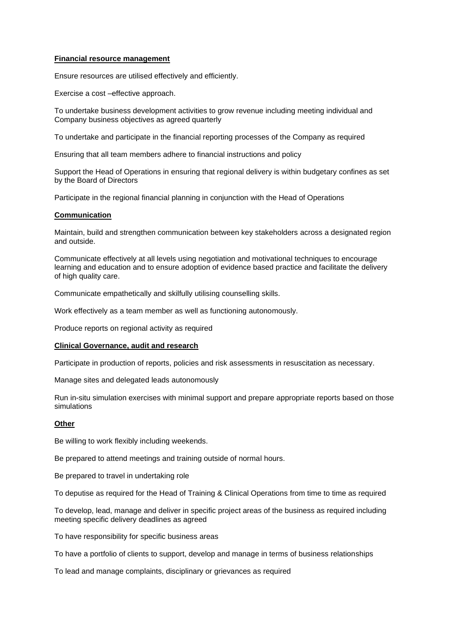## **Financial resource management**

Ensure resources are utilised effectively and efficiently.

Exercise a cost –effective approach.

To undertake business development activities to grow revenue including meeting individual and Company business objectives as agreed quarterly

To undertake and participate in the financial reporting processes of the Company as required

Ensuring that all team members adhere to financial instructions and policy

Support the Head of Operations in ensuring that regional delivery is within budgetary confines as set by the Board of Directors

Participate in the regional financial planning in conjunction with the Head of Operations

## **Communication**

Maintain, build and strengthen communication between key stakeholders across a designated region and outside.

Communicate effectively at all levels using negotiation and motivational techniques to encourage learning and education and to ensure adoption of evidence based practice and facilitate the delivery of high quality care.

Communicate empathetically and skilfully utilising counselling skills.

Work effectively as a team member as well as functioning autonomously.

Produce reports on regional activity as required

## **Clinical Governance, audit and research**

Participate in production of reports, policies and risk assessments in resuscitation as necessary.

Manage sites and delegated leads autonomously

Run in-situ simulation exercises with minimal support and prepare appropriate reports based on those simulations

## **Other**

Be willing to work flexibly including weekends.

Be prepared to attend meetings and training outside of normal hours.

Be prepared to travel in undertaking role

To deputise as required for the Head of Training & Clinical Operations from time to time as required

To develop, lead, manage and deliver in specific project areas of the business as required including meeting specific delivery deadlines as agreed

To have responsibility for specific business areas

To have a portfolio of clients to support, develop and manage in terms of business relationships

To lead and manage complaints, disciplinary or grievances as required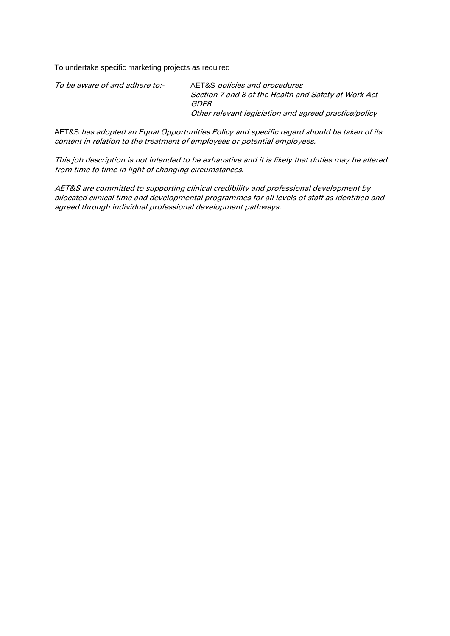To undertake specific marketing projects as required

To be aware of and adhere to:-<br>AET&S policies and procedures Section 7 and 8 of the Health and Safety at Work Act GDPR Other relevant legislation and agreed practice/policy

AET&S has adopted an Equal Opportunities Policy and specific regard should be taken of its content in relation to the treatment of employees or potential employees.

This job description is not intended to be exhaustive and it is likely that duties may be altered from time to time in light of changing circumstances.

AET&S are committed to supporting clinical credibility and professional development by allocated clinical time and developmental programmes for all levels of staff as identified and agreed through individual professional development pathways.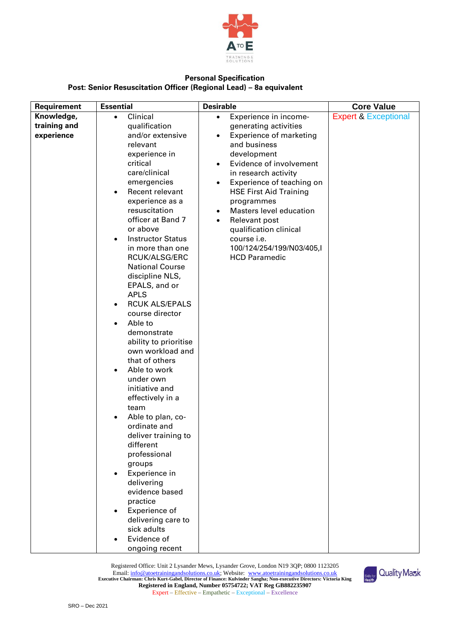

# **Personal Specification Post: Senior Resuscitation Officer (Regional Lead) – 8a equivalent**

| Requirement  | <b>Essential</b>                               | <b>Desirable</b>                     | <b>Core Value</b>               |
|--------------|------------------------------------------------|--------------------------------------|---------------------------------|
| Knowledge,   | Clinical<br>$\bullet$                          | Experience in income-<br>$\bullet$   | <b>Expert &amp; Exceptional</b> |
| training and | qualification                                  | generating activities                |                                 |
| experience   | and/or extensive                               | <b>Experience of marketing</b>       |                                 |
|              | relevant                                       | and business                         |                                 |
|              | experience in                                  | development                          |                                 |
|              | critical                                       | Evidence of involvement              |                                 |
|              | care/clinical                                  | in research activity                 |                                 |
|              | emergencies                                    | Experience of teaching on<br>٠       |                                 |
|              | Recent relevant<br>$\bullet$                   | <b>HSE First Aid Training</b>        |                                 |
|              | experience as a                                | programmes                           |                                 |
|              | resuscitation                                  | Masters level education<br>$\bullet$ |                                 |
|              | officer at Band 7                              | Relevant post<br>$\bullet$           |                                 |
|              | or above                                       | qualification clinical               |                                 |
|              | <b>Instructor Status</b><br>$\bullet$          | course i.e.                          |                                 |
|              | in more than one                               | 100/124/254/199/N03/405,I            |                                 |
|              | RCUK/ALSG/ERC                                  | <b>HCD Paramedic</b>                 |                                 |
|              | <b>National Course</b>                         |                                      |                                 |
|              | discipline NLS,                                |                                      |                                 |
|              | EPALS, and or                                  |                                      |                                 |
|              | <b>APLS</b>                                    |                                      |                                 |
|              | <b>RCUK ALS/EPALS</b><br>$\bullet$             |                                      |                                 |
|              | course director                                |                                      |                                 |
|              | Able to<br>$\bullet$                           |                                      |                                 |
|              | demonstrate                                    |                                      |                                 |
|              | ability to prioritise                          |                                      |                                 |
|              | own workload and                               |                                      |                                 |
|              | that of others                                 |                                      |                                 |
|              | Able to work<br>$\bullet$                      |                                      |                                 |
|              | under own                                      |                                      |                                 |
|              | initiative and                                 |                                      |                                 |
|              | effectively in a                               |                                      |                                 |
|              | team                                           |                                      |                                 |
|              | Able to plan, co-<br>$\bullet$<br>ordinate and |                                      |                                 |
|              |                                                |                                      |                                 |
|              | deliver training to<br>different               |                                      |                                 |
|              | professional                                   |                                      |                                 |
|              | groups                                         |                                      |                                 |
|              | Experience in<br>$\bullet$                     |                                      |                                 |
|              | delivering                                     |                                      |                                 |
|              | evidence based                                 |                                      |                                 |
|              | practice                                       |                                      |                                 |
|              | Experience of<br>$\bullet$                     |                                      |                                 |
|              | delivering care to                             |                                      |                                 |
|              | sick adults                                    |                                      |                                 |
|              | Evidence of                                    |                                      |                                 |
|              | ongoing recent                                 |                                      |                                 |

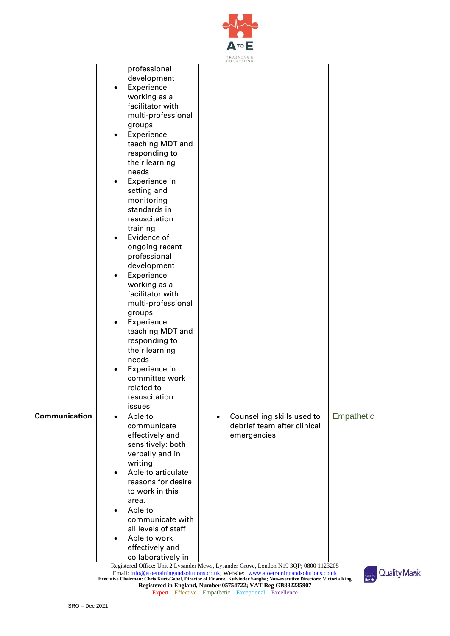

|                      |                                                                                                                                                                                                                                                                                                                                                                                                                                                                                                                                                                                                                                                                                       | SOLUTIONS                                                                             |            |
|----------------------|---------------------------------------------------------------------------------------------------------------------------------------------------------------------------------------------------------------------------------------------------------------------------------------------------------------------------------------------------------------------------------------------------------------------------------------------------------------------------------------------------------------------------------------------------------------------------------------------------------------------------------------------------------------------------------------|---------------------------------------------------------------------------------------|------------|
|                      | professional<br>development<br>Experience<br>$\bullet$<br>working as a<br>facilitator with<br>multi-professional<br>groups<br>Experience<br>$\bullet$<br>teaching MDT and<br>responding to<br>their learning<br>needs<br>Experience in<br>$\bullet$<br>setting and<br>monitoring<br>standards in<br>resuscitation<br>training<br>Evidence of<br>$\bullet$<br>ongoing recent<br>professional<br>development<br>Experience<br>$\bullet$<br>working as a<br>facilitator with<br>multi-professional<br>groups<br>Experience<br>٠<br>teaching MDT and<br>responding to<br>their learning<br>needs<br>Experience in<br>$\bullet$<br>committee work<br>related to<br>resuscitation<br>issues |                                                                                       |            |
| <b>Communication</b> | Able to<br>$\bullet$<br>communicate<br>effectively and<br>sensitively: both<br>verbally and in<br>writing<br>Able to articulate<br>$\bullet$<br>reasons for desire<br>to work in this<br>area.<br>Able to<br>$\bullet$<br>communicate with<br>all levels of staff<br>Able to work<br>$\bullet$<br>effectively and<br>collaboratively in                                                                                                                                                                                                                                                                                                                                               | Counselling skills used to<br>$\bullet$<br>debrief team after clinical<br>emergencies | Empathetic |
|                      |                                                                                                                                                                                                                                                                                                                                                                                                                                                                                                                                                                                                                                                                                       | Registered Office: Unit 2 Lysander Mews. Lysander Grove. London N19 3OP: 0800 1123205 |            |

Registered Office: Unit 2 Lysander Mews, Lysander Grove, London N19 3QP; 0800 1123205 Email[: info@atoetrainingandsolutions.co.uk;](mailto:info@atoetrainingandsolutions.co.uk) Website: [www.atoetrainingandsolutions.co.uk](http://www.atoetrainingandsolutions.co.uk/)<br>Executive Chairman: Chris Kurt-Gabel, Director of Finance: Kulvinder Sangha; Non-executive Directors: Victoria King<br>Registered in Engl Expert – Effective – Empathetic – Exceptional – Excellence

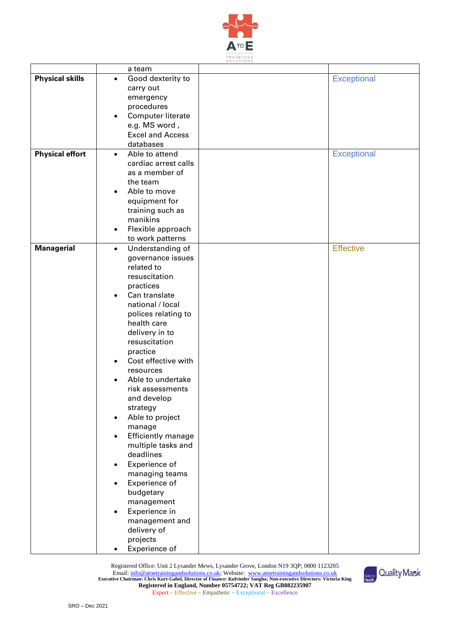

|                        |                                   | <b>SULUILUN</b> |                  |
|------------------------|-----------------------------------|-----------------|------------------|
|                        | a team                            |                 |                  |
| <b>Physical skills</b> | Good dexterity to<br>$\bullet$    |                 | Exceptional      |
|                        | carry out                         |                 |                  |
|                        | emergency                         |                 |                  |
|                        | procedures                        |                 |                  |
|                        | Computer literate<br>٠            |                 |                  |
|                        | e.g. MS word,                     |                 |                  |
|                        | <b>Excel and Access</b>           |                 |                  |
|                        | databases                         |                 |                  |
| <b>Physical effort</b> | Able to attend<br>$\bullet$       |                 | Exceptional      |
|                        | cardiac arrest calls              |                 |                  |
|                        | as a member of                    |                 |                  |
|                        | the team                          |                 |                  |
|                        | Able to move<br>٠                 |                 |                  |
|                        |                                   |                 |                  |
|                        | equipment for<br>training such as |                 |                  |
|                        | manikins                          |                 |                  |
|                        |                                   |                 |                  |
|                        | Flexible approach<br>$\bullet$    |                 |                  |
|                        | to work patterns                  |                 |                  |
| <b>Managerial</b>      | Understanding of<br>$\bullet$     |                 | <b>Effective</b> |
|                        | governance issues                 |                 |                  |
|                        | related to                        |                 |                  |
|                        | resuscitation                     |                 |                  |
|                        | practices                         |                 |                  |
|                        | Can translate<br>$\bullet$        |                 |                  |
|                        | national / local                  |                 |                  |
|                        | polices relating to               |                 |                  |
|                        | health care                       |                 |                  |
|                        | delivery in to                    |                 |                  |
|                        | resuscitation                     |                 |                  |
|                        | practice                          |                 |                  |
|                        | Cost effective with<br>٠          |                 |                  |
|                        | resources                         |                 |                  |
|                        | Able to undertake                 |                 |                  |
|                        | risk assessments                  |                 |                  |
|                        | and develop                       |                 |                  |
|                        | strategy                          |                 |                  |
|                        | Able to project                   |                 |                  |
|                        | manage                            |                 |                  |
|                        | Efficiently manage                |                 |                  |
|                        | multiple tasks and                |                 |                  |
|                        | deadlines                         |                 |                  |
|                        | Experience of                     |                 |                  |
|                        | managing teams                    |                 |                  |
|                        | Experience of                     |                 |                  |
|                        | budgetary                         |                 |                  |
|                        | management                        |                 |                  |
|                        | Experience in                     |                 |                  |
|                        | management and                    |                 |                  |
|                        | delivery of                       |                 |                  |
|                        | projects                          |                 |                  |
|                        | Experience of                     |                 |                  |
|                        | ٠                                 |                 |                  |